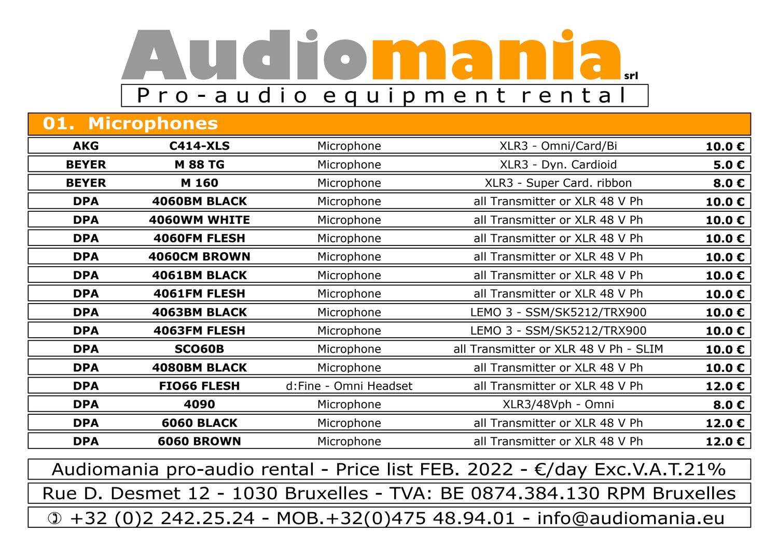## **Audiomaniasrl** P r o - a u d i o e q u i p m e n t r e n t a l

| <b>01. Microphones</b>                                                   |                     |                       |                                                                        |                 |
|--------------------------------------------------------------------------|---------------------|-----------------------|------------------------------------------------------------------------|-----------------|
| <b>AKG</b>                                                               | <b>C414-XLS</b>     | Microphone            | XLR3 - Omni/Card/Bi                                                    | 10.0 $\epsilon$ |
| <b>BEYER</b>                                                             | <b>M 88 TG</b>      | Microphone            | XLR3 - Dyn. Cardioid                                                   | 5.0 $\epsilon$  |
| <b>BEYER</b>                                                             | M 160               | Microphone            | XLR3 - Super Card. ribbon                                              | 8.0 $\epsilon$  |
| <b>DPA</b>                                                               | <b>4060BM BLACK</b> | Microphone            | all Transmitter or XLR 48 V Ph                                         | 10.0 $\epsilon$ |
| <b>DPA</b>                                                               | <b>4060WM WHITE</b> | Microphone            | all Transmitter or XLR 48 V Ph                                         | 10.0 $\epsilon$ |
| <b>DPA</b>                                                               | 4060FM FLESH        | Microphone            | all Transmitter or XLR 48 V Ph                                         | 10.0 $\epsilon$ |
| <b>DPA</b>                                                               | 4060CM BROWN        | Microphone            | all Transmitter or XLR 48 V Ph                                         | 10.0 $\epsilon$ |
| <b>DPA</b>                                                               | 4061BM BLACK        | Microphone            | all Transmitter or XLR 48 V Ph                                         | 10.0€           |
| <b>DPA</b>                                                               | 4061FM FLESH        | Microphone            | all Transmitter or XLR 48 V Ph                                         | 10.0 $\epsilon$ |
| <b>DPA</b>                                                               | <b>4063BM BLACK</b> | Microphone            | LEMO 3 - SSM/SK5212/TRX900                                             | 10.0 $\epsilon$ |
| <b>DPA</b>                                                               | 4063FM FLESH        | Microphone            | LEMO 3 - SSM/SK5212/TRX900                                             | 10.0 $\epsilon$ |
| <b>DPA</b>                                                               | <b>SCO60B</b>       | Microphone            | all Transmitter or XLR 48 V Ph - SLIM                                  | 10.0€           |
| <b>DPA</b>                                                               | <b>4080BM BLACK</b> | Microphone            | all Transmitter or XLR 48 V Ph                                         | 10.0 $\epsilon$ |
| <b>DPA</b>                                                               | <b>FIO66 FLESH</b>  | d:Fine - Omni Headset | all Transmitter or XLR 48 V Ph                                         | 12.0 $\epsilon$ |
| <b>DPA</b>                                                               | 4090                | Microphone            | XLR3/48Vph - Omni                                                      | 8.0 $\epsilon$  |
| <b>DPA</b>                                                               | <b>6060 BLACK</b>   | Microphone            | all Transmitter or XLR 48 V Ph                                         | 12.0 $\epsilon$ |
| <b>DPA</b>                                                               | <b>6060 BROWN</b>   | Microphone            | all Transmitter or XLR 48 V Ph                                         | 12.0 $\epsilon$ |
| Audiomania pro-audio rental - Price list FEB. 2022 - €/day Exc.V.A.T.21% |                     |                       |                                                                        |                 |
|                                                                          |                     |                       | Rue D. Desmet 12 - 1030 Bruxelles - TVA: BE 0874.384.130 RPM Bruxelles |                 |

 $\theta$  +32 (0)2 242.25.24 - MOB.+32(0)475 48.94.01 - info@audiomania.eu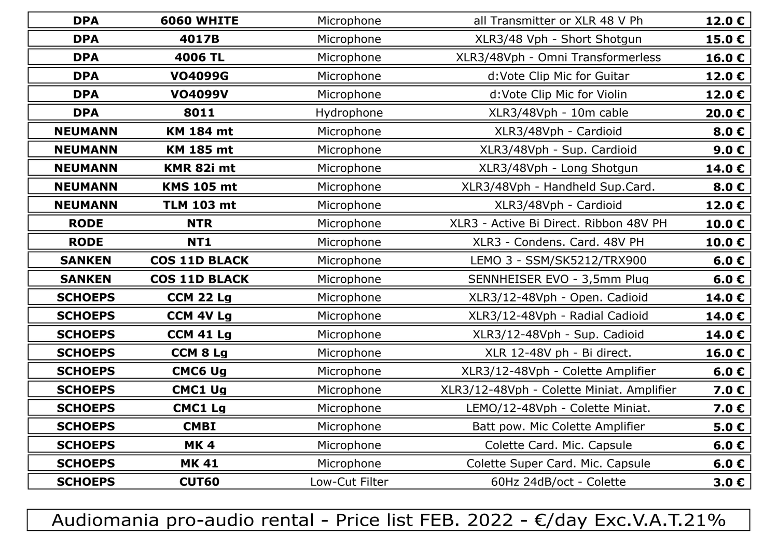| <b>DPA</b>     | <b>6060 WHITE</b>    | Microphone<br>all Transmitter or XLR 48 V Ph |                                           | 12.0 $\epsilon$  |
|----------------|----------------------|----------------------------------------------|-------------------------------------------|------------------|
| <b>DPA</b>     | 4017B                | Microphone                                   | XLR3/48 Vph - Short Shotgun               | 15.0€            |
| <b>DPA</b>     | 4006 TL              | Microphone                                   | XLR3/48Vph - Omni Transformerless         | 16.0C            |
| <b>DPA</b>     | <b>VO4099G</b>       | Microphone                                   | d:Vote Clip Mic for Guitar                | 12.0 $\epsilon$  |
| <b>DPA</b>     | <b>VO4099V</b>       | Microphone                                   | d:Vote Clip Mic for Violin                | 12.0 $\epsilon$  |
| <b>DPA</b>     | 8011                 | Hydrophone                                   | XLR3/48Vph - 10m cable                    | 20.0 €           |
| <b>NEUMANN</b> | <b>KM 184 mt</b>     | Microphone                                   | XLR3/48Vph - Cardioid                     | 8.0 <sub>c</sub> |
| <b>NEUMANN</b> | <b>KM 185 mt</b>     | Microphone                                   | XLR3/48Vph - Sup. Cardioid                | 9.0 $\epsilon$   |
| <b>NEUMANN</b> | KMR 82i mt           | Microphone                                   | XLR3/48Vph - Long Shotgun                 | 14.0 $\epsilon$  |
| <b>NEUMANN</b> | <b>KMS 105 mt</b>    | Microphone                                   | XLR3/48Vph - Handheld Sup.Card.           | 8.0 $\epsilon$   |
| <b>NEUMANN</b> | <b>TLM 103 mt</b>    | Microphone                                   | XLR3/48Vph - Cardioid                     | 12.0 $\epsilon$  |
| <b>RODE</b>    | <b>NTR</b>           | Microphone                                   | XLR3 - Active Bi Direct. Ribbon 48V PH    | 10.0 $\epsilon$  |
| <b>RODE</b>    | <b>NT1</b>           | Microphone                                   | XLR3 - Condens. Card. 48V PH              | 10.0 $\epsilon$  |
| <b>SANKEN</b>  | <b>COS 11D BLACK</b> | Microphone                                   | LEMO 3 - SSM/SK5212/TRX900                | 6.0 $\epsilon$   |
| <b>SANKEN</b>  | <b>COS 11D BLACK</b> | Microphone                                   | SENNHEISER EVO - 3,5mm Plug               | 6.0 $\epsilon$   |
| <b>SCHOEPS</b> | <b>CCM 22 Lg</b>     | Microphone                                   | XLR3/12-48Vph - Open. Cadioid             | 14.0 $\epsilon$  |
| <b>SCHOEPS</b> | <b>CCM 4V Lg</b>     | Microphone                                   | XLR3/12-48Vph - Radial Cadioid            | 14.0 $\epsilon$  |
| <b>SCHOEPS</b> | <b>CCM 41 Lg</b>     | Microphone                                   | XLR3/12-48Vph - Sup. Cadioid              | 14.0 $\epsilon$  |
| <b>SCHOEPS</b> | <b>CCM 8 Lg</b>      | Microphone                                   | XLR 12-48V ph - Bi direct.                | 16.0 $\epsilon$  |
| <b>SCHOEPS</b> | <b>CMC6 Ug</b>       | Microphone                                   | XLR3/12-48Vph - Colette Amplifier         | 6.0 $\epsilon$   |
| <b>SCHOEPS</b> | <b>CMC1 Ug</b>       | Microphone                                   | XLR3/12-48Vph - Colette Miniat. Amplifier | 7.0 $\epsilon$   |
| <b>SCHOEPS</b> | <b>CMC1 Lg</b>       | Microphone                                   | LEMO/12-48Vph - Colette Miniat.           | 7.0 $\epsilon$   |
| <b>SCHOEPS</b> | <b>CMBI</b>          | Microphone                                   | Batt pow. Mic Colette Amplifier           | 5.0 $\epsilon$   |
| <b>SCHOEPS</b> | <b>MK4</b>           | Microphone<br>Colette Card. Mic. Capsule     |                                           | 6.0 <sub>c</sub> |
| <b>SCHOEPS</b> | <b>MK 41</b>         | Microphone                                   | Colette Super Card. Mic. Capsule          | 6.0 $\epsilon$   |
| <b>SCHOEPS</b> | <b>CUT60</b>         | Low-Cut Filter                               | 60Hz 24dB/oct - Colette                   | 3.0 $\epsilon$   |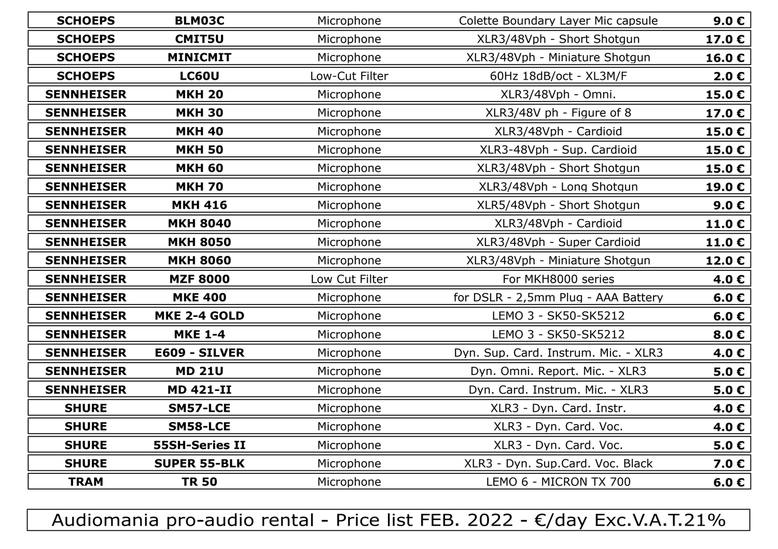| <b>SCHOEPS</b>    | <b>BLM03C</b>         | Colette Boundary Layer Mic capsule<br>Microphone |                                      | 9.0 $\epsilon$  |
|-------------------|-----------------------|--------------------------------------------------|--------------------------------------|-----------------|
| <b>SCHOEPS</b>    | <b>CMIT5U</b>         | Microphone                                       | XLR3/48Vph - Short Shotgun           | 17.0 $\epsilon$ |
| <b>SCHOEPS</b>    | <b>MINICMIT</b>       | Microphone                                       | XLR3/48Vph - Miniature Shotgun       | 16.0 $\epsilon$ |
| <b>SCHOEPS</b>    | <b>LC60U</b>          | Low-Cut Filter                                   | 60Hz 18dB/oct - XL3M/F               |                 |
| <b>SENNHEISER</b> | <b>MKH 20</b>         | Microphone                                       | XLR3/48Vph - Omni.                   | 15.0 $\epsilon$ |
| <b>SENNHEISER</b> | <b>MKH 30</b>         | Microphone                                       | XLR3/48V ph - Figure of 8            | 17.0€           |
| <b>SENNHEISER</b> | <b>MKH 40</b>         | Microphone                                       | XLR3/48Vph - Cardioid                | 15.0 $\epsilon$ |
| <b>SENNHEISER</b> | <b>MKH 50</b>         | Microphone                                       | XLR3-48Vph - Sup. Cardioid           | 15.0 $\epsilon$ |
| <b>SENNHEISER</b> | <b>MKH 60</b>         | Microphone                                       | XLR3/48Vph - Short Shotgun           | 15.0 $\epsilon$ |
| <b>SENNHEISER</b> | <b>MKH 70</b>         | Microphone                                       | XLR3/48Vph - Long Shotgun            | 19.0€           |
| <b>SENNHEISER</b> | <b>MKH 416</b>        | Microphone                                       | XLR5/48Vph - Short Shotgun           | 9.0 $\epsilon$  |
| <b>SENNHEISER</b> | <b>MKH 8040</b>       | Microphone                                       | XLR3/48Vph - Cardioid                | 11.0 $\epsilon$ |
| <b>SENNHEISER</b> | <b>MKH 8050</b>       | Microphone                                       | XLR3/48Vph - Super Cardioid          | 11.0 $\epsilon$ |
| <b>SENNHEISER</b> | <b>MKH 8060</b>       | Microphone                                       | XLR3/48Vph - Miniature Shotgun       | 12.0 $\epsilon$ |
| <b>SENNHEISER</b> | <b>MZF 8000</b>       | Low Cut Filter                                   | For MKH8000 series                   | 4.0 $\epsilon$  |
| <b>SENNHEISER</b> | <b>MKE 400</b>        | Microphone                                       | for DSLR - 2,5mm Plug - AAA Battery  |                 |
| <b>SENNHEISER</b> | <b>MKE 2-4 GOLD</b>   | Microphone                                       | LEMO 3 - SK50-SK5212                 |                 |
| <b>SENNHEISER</b> | <b>MKE 1-4</b>        | Microphone                                       | LEMO 3 - SK50-SK5212                 | 8.0 $\epsilon$  |
| <b>SENNHEISER</b> | E609 - SILVER         | Microphone                                       | Dyn. Sup. Card. Instrum. Mic. - XLR3 | 4.0 $\epsilon$  |
| <b>SENNHEISER</b> | <b>MD 21U</b>         | Microphone                                       | Dyn. Omni. Report. Mic. - XLR3       | 5.0 $\epsilon$  |
| <b>SENNHEISER</b> | <b>MD 421-II</b>      | Microphone                                       | Dyn. Card. Instrum. Mic. - XLR3      | 5.0 $\epsilon$  |
| <b>SHURE</b>      | SM57-LCE              | Microphone                                       | XLR3 - Dyn. Card. Instr.             | 4.0 $\epsilon$  |
| <b>SHURE</b>      | <b>SM58-LCE</b>       | Microphone                                       | XLR3 - Dyn. Card. Voc.               | 4.0 $\epsilon$  |
| <b>SHURE</b>      | <b>55SH-Series II</b> | Microphone                                       | XLR3 - Dyn. Card. Voc.               | 5.0 $\epsilon$  |
| <b>SHURE</b>      | <b>SUPER 55-BLK</b>   | Microphone                                       | XLR3 - Dyn. Sup.Card. Voc. Black     | 7.0 $\epsilon$  |
| <b>TRAM</b>       | <b>TR 50</b>          | Microphone                                       | LEMO 6 - MICRON TX 700               | 6.0 $\epsilon$  |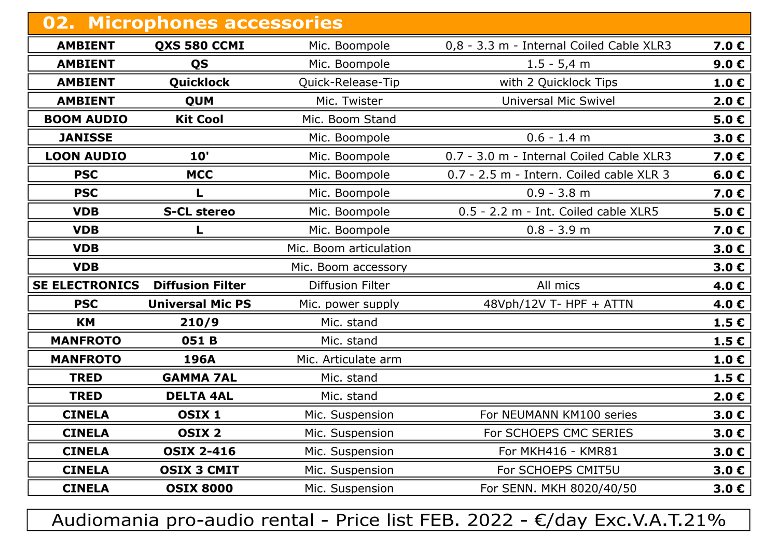| 02. Microphones accessories |                         |                         |                                          |                         |
|-----------------------------|-------------------------|-------------------------|------------------------------------------|-------------------------|
| <b>AMBIENT</b>              | QXS 580 CCMI            | Mic. Boompole           | 0,8 - 3.3 m - Internal Coiled Cable XLR3 | 7.0€                    |
| <b>AMBIENT</b>              | QS                      | Mic. Boompole           | $1.5 - 5,4$ m                            | 9.0 <sub>c</sub>        |
| <b>AMBIENT</b>              | Quicklock               | Quick-Release-Tip       | with 2 Quicklock Tips                    | 1.0 E                   |
| <b>AMBIENT</b>              | <b>QUM</b>              | Mic. Twister            | <b>Universal Mic Swivel</b>              | $2.0 \text{ } \epsilon$ |
| <b>BOOM AUDIO</b>           | <b>Kit Cool</b>         | Mic. Boom Stand         |                                          | 5.0C                    |
| <b>JANISSE</b>              |                         | Mic. Boompole           | $0.6 - 1.4$ m                            | 3.0 <sub>c</sub>        |
| <b>LOON AUDIO</b>           | 10'                     | Mic. Boompole           | 0.7 - 3.0 m - Internal Coiled Cable XLR3 | 7.0€                    |
| <b>PSC</b>                  | <b>MCC</b>              | Mic. Boompole           | 0.7 - 2.5 m - Intern. Coiled cable XLR 3 | 6.0 $\epsilon$          |
| <b>PSC</b>                  |                         | Mic. Boompole           | $0.9 - 3.8$ m                            | 7.0 $\epsilon$          |
| <b>VDB</b>                  | <b>S-CL stereo</b>      | Mic. Boompole           | 0.5 - 2.2 m - Int. Coiled cable XLR5     | 5.0C                    |
| <b>VDB</b>                  |                         | Mic. Boompole           | $0.8 - 3.9$ m                            | 7.0 $\epsilon$          |
| <b>VDB</b>                  |                         | Mic. Boom articulation  |                                          | 3.0 <sub>c</sub>        |
| <b>VDB</b>                  |                         | Mic. Boom accessory     |                                          | 3.0 E                   |
| <b>SE ELECTRONICS</b>       | <b>Diffusion Filter</b> | <b>Diffusion Filter</b> | All mics                                 | 4.0€                    |
| <b>PSC</b>                  | <b>Universal Mic PS</b> | Mic. power supply       | 48Vph/12V T- HPF + ATTN                  | 4.0€                    |
| <b>KM</b>                   | 210/9                   | Mic. stand              |                                          | 1.5E                    |
| <b>MANFROTO</b>             | 051B                    | Mic. stand              |                                          | 1.5C                    |
| <b>MANFROTO</b>             | 196A                    | Mic. Articulate arm     |                                          | 1.0 E                   |
| <b>TRED</b>                 | <b>GAMMA 7AL</b>        | Mic. stand              |                                          | 1.5C                    |
| <b>TRED</b>                 | <b>DELTA 4AL</b>        | Mic. stand              |                                          | $2.0 \text{ } \in$      |
| <b>CINELA</b>               | OSIX <sub>1</sub>       | Mic. Suspension         | For NEUMANN KM100 series                 | 3.0C                    |
| <b>CINELA</b>               | <b>OSIX 2</b>           | Mic. Suspension         | For SCHOEPS CMC SERIES                   | 3.0 <sub>C</sub>        |
| <b>CINELA</b>               | <b>OSIX 2-416</b>       | Mic. Suspension         | For MKH416 - KMR81                       | 3.0 <sub>c</sub>        |
| <b>CINELA</b>               | <b>OSIX 3 CMIT</b>      | Mic. Suspension         | For SCHOEPS CMIT5U                       | 3.0 <sub>C</sub>        |
| <b>CINELA</b>               | <b>OSIX 8000</b>        | Mic. Suspension         | For SENN. MKH 8020/40/50                 | 3.0 $\epsilon$          |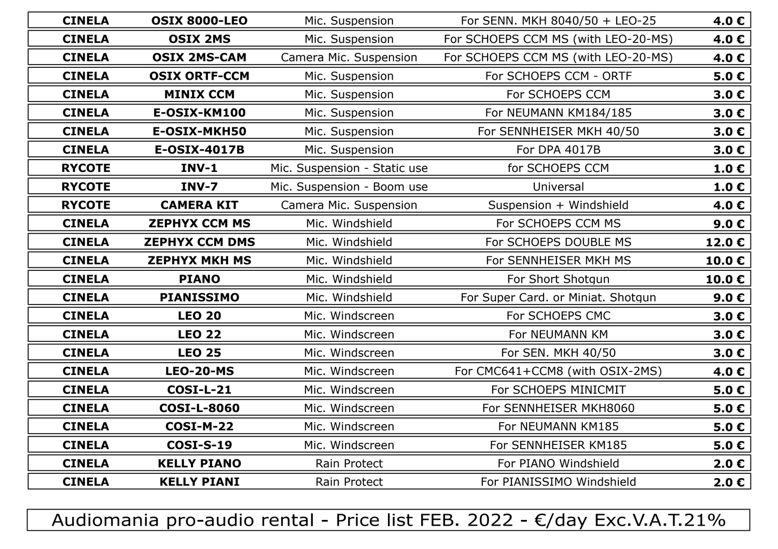| <b>CINELA</b> | <b>OSIX 8000-LEO</b>  | Mic. Suspension<br>For SENN. MKH 8040/50 + LEO-25 |                                                 | 4.0€                    |
|---------------|-----------------------|---------------------------------------------------|-------------------------------------------------|-------------------------|
| <b>CINELA</b> | <b>OSIX 2MS</b>       | Mic. Suspension                                   | For SCHOEPS CCM MS (with LEO-20-MS)             | 4.0 $\epsilon$          |
| <b>CINELA</b> | <b>OSIX 2MS-CAM</b>   | Camera Mic. Suspension                            | For SCHOEPS CCM MS (with LEO-20-MS)             | 4.0€                    |
| <b>CINELA</b> | <b>OSIX ORTF-CCM</b>  | Mic. Suspension                                   | For SCHOEPS CCM - ORTF                          |                         |
| <b>CINELA</b> | <b>MINIX CCM</b>      | Mic. Suspension                                   | For SCHOEPS CCM                                 | 3.0 <sub>c</sub>        |
| <b>CINELA</b> | E-OSIX-KM100          | Mic. Suspension                                   | For NEUMANN KM184/185                           | 3.0 <sub>c</sub>        |
| <b>CINELA</b> | E-OSIX-MKH50          | Mic. Suspension                                   | For SENNHEISER MKH 40/50                        | 3.0C                    |
| <b>CINELA</b> | <b>E-OSIX-4017B</b>   | Mic. Suspension                                   | For DPA 4017B                                   | 3.0 <sub>c</sub>        |
| <b>RYCOTE</b> | <b>INV-1</b>          | Mic. Suspension - Static use                      | for SCHOEPS CCM                                 | 1.0 $\epsilon$          |
| <b>RYCOTE</b> | INV-7                 | Mic. Suspension - Boom use                        | Universal                                       | $1.0 \text{ } \epsilon$ |
| <b>RYCOTE</b> | <b>CAMERA KIT</b>     | Camera Mic. Suspension                            | Suspension + Windshield                         | 4.0 $\epsilon$          |
| <b>CINELA</b> | <b>ZEPHYX CCM MS</b>  | Mic. Windshield                                   | For SCHOEPS CCM MS                              |                         |
| <b>CINELA</b> | <b>ZEPHYX CCM DMS</b> | Mic. Windshield                                   | For SCHOEPS DOUBLE MS                           |                         |
| <b>CINELA</b> | <b>ZEPHYX MKH MS</b>  | Mic. Windshield                                   | For SENNHEISER MKH MS                           |                         |
| <b>CINELA</b> | <b>PIANO</b>          | Mic. Windshield                                   | For Short Shotgun                               |                         |
| <b>CINELA</b> | <b>PIANISSIMO</b>     | Mic. Windshield                                   | For Super Card. or Miniat. Shotgun              |                         |
| <b>CINELA</b> | <b>LEO 20</b>         | Mic. Windscreen                                   | For SCHOEPS CMC                                 | 3.0 <sub>c</sub>        |
| <b>CINELA</b> | <b>LEO 22</b>         | Mic. Windscreen                                   | For NEUMANN KM                                  | 3.0 <sub>c</sub>        |
| <b>CINELA</b> | <b>LEO 25</b>         | Mic. Windscreen                                   | For SEN. MKH 40/50                              | 3.0 <sub>c</sub>        |
| <b>CINELA</b> | <b>LEO-20-MS</b>      | Mic. Windscreen                                   | For CMC641+CCM8 (with OSIX-2MS)                 | 4.0 $\epsilon$          |
| <b>CINELA</b> | <b>COSI-L-21</b>      | Mic. Windscreen                                   | For SCHOEPS MINICMIT                            | $5.0 \text{ } \in$      |
| <b>CINELA</b> | <b>COSI-L-8060</b>    | Mic. Windscreen                                   | For SENNHEISER MKH8060                          | $5.0 \text{ } \in$      |
| <b>CINELA</b> | <b>COSI-M-22</b>      | Mic. Windscreen                                   | For NEUMANN KM185                               |                         |
| <b>CINELA</b> | <b>COSI-S-19</b>      | Mic. Windscreen                                   | For SENNHEISER KM185                            |                         |
| <b>CINELA</b> | <b>KELLY PIANO</b>    | Rain Protect                                      | For PIANO Windshield<br>$2.0 \text{ } \epsilon$ |                         |
| <b>CINELA</b> | <b>KELLY PIANI</b>    | Rain Protect                                      | For PIANISSIMO Windshield                       | $2.0 \epsilon$          |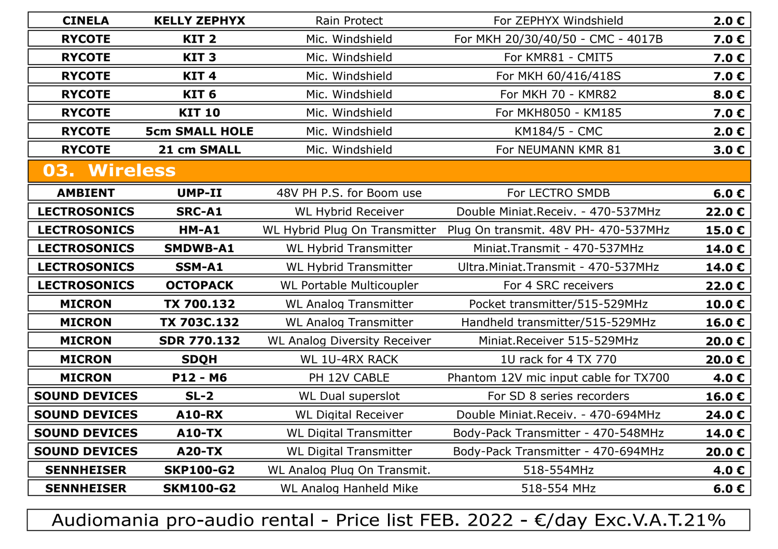| <b>CINELA</b>        | <b>KELLY ZEPHYX</b>   | Rain Protect                        | For ZEPHYX Windshield                 |                    |
|----------------------|-----------------------|-------------------------------------|---------------------------------------|--------------------|
| <b>RYCOTE</b>        | KIT <sub>2</sub>      | Mic. Windshield                     | For MKH 20/30/40/50 - CMC - 4017B     | 7.0 <sub>c</sub>   |
| <b>RYCOTE</b>        | KIT <sub>3</sub>      | Mic. Windshield                     | For KMR81 - CMIT5                     | 7.0 $\epsilon$     |
| <b>RYCOTE</b>        | KIT <sub>4</sub>      | Mic. Windshield                     | For MKH 60/416/418S                   | 7.0 $\epsilon$     |
| <b>RYCOTE</b>        | KIT <sub>6</sub>      | Mic. Windshield                     | For MKH 70 - KMR82                    | 8.0 <sub>c</sub>   |
| <b>RYCOTE</b>        | <b>KIT 10</b>         | Mic. Windshield                     | For MKH8050 - KM185                   | 7.0 $\epsilon$     |
| <b>RYCOTE</b>        | <b>5cm SMALL HOLE</b> | Mic. Windshield                     | KM184/5 - CMC                         | $2.0 \text{ } \in$ |
| <b>RYCOTE</b>        | 21 cm SMALL           | Mic. Windshield                     | For NEUMANN KMR 81                    | 3.0 <sub>c</sub>   |
| 03. Wireless         |                       |                                     |                                       |                    |
| <b>AMBIENT</b>       | <b>UMP-II</b>         | 48V PH P.S. for Boom use            | For LECTRO SMDB                       | 6.0 $\epsilon$     |
| <b>LECTROSONICS</b>  | <b>SRC-A1</b>         | <b>WL Hybrid Receiver</b>           | Double Miniat.Receiv. - 470-537MHz    | 22.0 € $ $         |
| <b>LECTROSONICS</b>  | HM-A1                 | WL Hybrid Plug On Transmitter       | Plug On transmit. 48V PH- 470-537MHz  | 15.0 €             |
| <b>LECTROSONICS</b>  | <b>SMDWB-A1</b>       | <b>WL Hybrid Transmitter</b>        | Miniat.Transmit - 470-537MHz          | 14.0€              |
| <b>LECTROSONICS</b>  | SSM-A1                | <b>WL Hybrid Transmitter</b>        | Ultra. Miniat. Transmit - 470-537MHz  | 14.0€              |
| <b>LECTROSONICS</b>  | <b>OCTOPACK</b>       | <b>WL Portable Multicoupler</b>     | For 4 SRC receivers                   | 22.0 € $ $         |
| <b>MICRON</b>        | TX 700.132            | <b>WL Analog Transmitter</b>        | Pocket transmitter/515-529MHz         | 10.0€              |
| <b>MICRON</b>        | TX 703C.132           | <b>WL Analog Transmitter</b>        | Handheld transmitter/515-529MHz       | 16.0€              |
| <b>MICRON</b>        | <b>SDR 770.132</b>    | <b>WL Analog Diversity Receiver</b> | Miniat.Receiver 515-529MHz            | 20.0 € $ $         |
| <b>MICRON</b>        | <b>SDQH</b>           | <b>WL 1U-4RX RACK</b>               | 1U rack for 4 TX 770                  | 20.0€              |
| <b>MICRON</b>        | P12 - M6              | PH 12V CABLE                        | Phantom 12V mic input cable for TX700 | 4.0€               |
| <b>SOUND DEVICES</b> | $SL-2$                | WL Dual superslot                   | For SD 8 series recorders             | 16.0 $\epsilon$    |
| <b>SOUND DEVICES</b> | <b>A10-RX</b>         | <b>WL Digital Receiver</b>          | Double Miniat.Receiv. - 470-694MHz    | 24.0€              |
| <b>SOUND DEVICES</b> | <b>A10-TX</b>         | <b>WL Digital Transmitter</b>       | Body-Pack Transmitter - 470-548MHz    | 14.0 $\epsilon$    |
| <b>SOUND DEVICES</b> | <b>A20-TX</b>         | <b>WL Digital Transmitter</b>       | Body-Pack Transmitter - 470-694MHz    | 20.0 € $ $         |
| <b>SENNHEISER</b>    | <b>SKP100-G2</b>      | WL Analog Plug On Transmit.         | 518-554MHz                            | 4.0€               |
| <b>SENNHEISER</b>    | <b>SKM100-G2</b>      | <b>WL Analog Hanheld Mike</b>       | 518-554 MHz                           | 6.0 $\epsilon$     |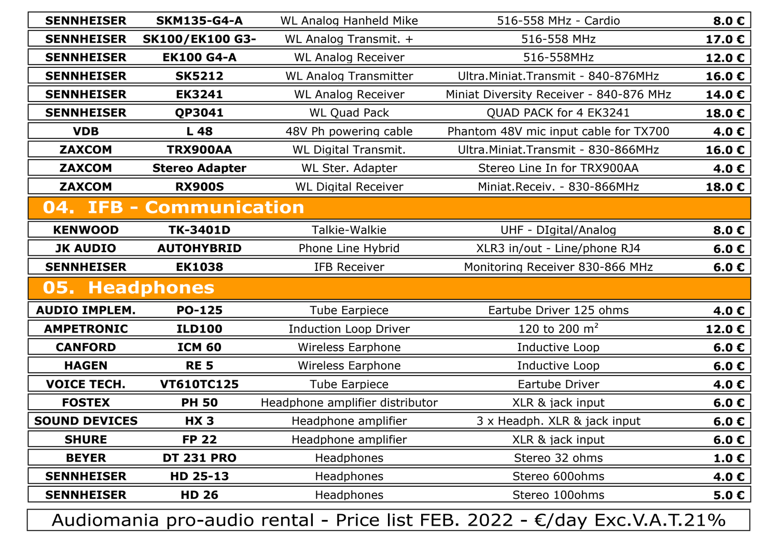| <b>SENNHEISER</b>     | <b>SKM135-G4-A</b>     | <b>WL Analog Hanheld Mike</b>           | 8.0C<br>516-558 MHz - Cardio            |                |
|-----------------------|------------------------|-----------------------------------------|-----------------------------------------|----------------|
| <b>SENNHEISER</b>     | <b>SK100/EK100 G3-</b> | WL Analog Transmit. +                   | 516-558 MHz                             |                |
| <b>SENNHEISER</b>     | <b>EK100 G4-A</b>      | <b>WL Analog Receiver</b><br>516-558MHz |                                         | 12.0€          |
| <b>SENNHEISER</b>     | <b>SK5212</b>          | <b>WL Analog Transmitter</b>            | Ultra. Miniat. Transmit - 840-876MHz    | 16.0€          |
| <b>SENNHEISER</b>     | <b>EK3241</b>          | <b>WL Analog Receiver</b>               | Miniat Diversity Receiver - 840-876 MHz | 14.0€          |
| <b>SENNHEISER</b>     | <b>QP3041</b>          | <b>WL Quad Pack</b>                     | QUAD PACK for 4 EK3241                  | 18.0€          |
| <b>VDB</b>            | L <sub>48</sub>        | 48V Ph powering cable                   | Phantom 48V mic input cable for TX700   | 4.0€           |
| <b>ZAXCOM</b>         | TRX900AA               | <b>WL Digital Transmit.</b>             | Ultra. Miniat. Transmit - 830-866MHz    | 16.0€          |
| <b>ZAXCOM</b>         | <b>Stereo Adapter</b>  | WL Ster. Adapter                        | Stereo Line In for TRX900AA             | 4.0€           |
| <b>ZAXCOM</b>         | <b>RX900S</b>          | <b>WL Digital Receiver</b>              | Miniat.Receiv. - 830-866MHz             | 18.0€          |
| 04. IFB               | <b>Communication</b>   |                                         |                                         |                |
| <b>KENWOOD</b>        | TK-3401D               | Talkie-Walkie                           | UHF - DIgital/Analog                    | 8.0 $\epsilon$ |
| <b>JK AUDIO</b>       | <b>AUTOHYBRID</b>      | Phone Line Hybrid                       | XLR3 in/out - Line/phone RJ4            | 6.0 $\epsilon$ |
| <b>SENNHEISER</b>     | <b>EK1038</b>          | <b>IFB Receiver</b>                     | Monitoring Receiver 830-866 MHz         | 6.0 $\epsilon$ |
| <b>05. Headphones</b> |                        |                                         |                                         |                |
| <b>AUDIO IMPLEM.</b>  | <b>PO-125</b>          | <b>Tube Earpiece</b>                    | Eartube Driver 125 ohms                 | 4.0€           |
| <b>AMPETRONIC</b>     | <b>ILD100</b>          | <b>Induction Loop Driver</b>            | 120 to 200 $m2$                         | 12.0€          |
| <b>CANFORD</b>        | <b>ICM 60</b>          | <b>Wireless Earphone</b>                | Inductive Loop                          | 6.0 $\epsilon$ |
| <b>HAGEN</b>          | <b>RE 5</b>            | <b>Wireless Earphone</b>                | Inductive Loop                          | 6.0 $\epsilon$ |
| <b>VOICE TECH.</b>    | <b>VT610TC125</b>      | <b>Tube Earpiece</b>                    | Eartube Driver                          | 4.0€           |
| <b>FOSTEX</b>         | <b>PH 50</b>           | Headphone amplifier distributor         | XLR & jack input                        | 6.0C           |
| <b>SOUND DEVICES</b>  | <b>HX3</b>             | Headphone amplifier                     | 3 x Headph. XLR & jack input            | 6.0 $\epsilon$ |
| <b>SHURE</b>          | <b>FP 22</b>           | Headphone amplifier                     | XLR & jack input                        | 6.0 $\epsilon$ |
| <b>BEYER</b>          | <b>DT 231 PRO</b>      | Headphones                              | Stereo 32 ohms                          | 1.0C           |
| <b>SENNHEISER</b>     | HD 25-13               | Headphones                              | Stereo 600ohms                          | 4.0€           |
| <b>SENNHEISER</b>     | <b>HD 26</b>           | Headphones                              | Stereo 100ohms                          | 5.0C           |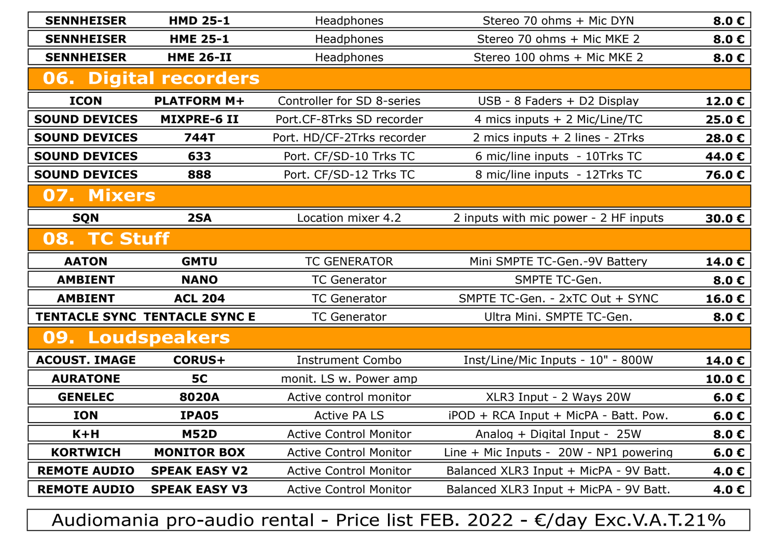| <b>SENNHEISER</b>    | <b>HMD 25-1</b>                      | Headphones                                | Stereo 70 ohms + Mic DYN                 |                |
|----------------------|--------------------------------------|-------------------------------------------|------------------------------------------|----------------|
| <b>SENNHEISER</b>    | <b>HME 25-1</b>                      | Headphones                                | Stereo 70 ohms + Mic MKE 2               | 8.0 $\epsilon$ |
| <b>SENNHEISER</b>    | <b>HME 26-II</b>                     | Stereo 100 ohms + Mic MKE 2<br>Headphones |                                          | 8.0 $\epsilon$ |
|                      | <b>06. Digital recorders</b>         |                                           |                                          |                |
| <b>ICON</b>          | <b>PLATFORM M+</b>                   | Controller for SD 8-series                | USB - 8 Faders + D2 Display              | 12.0€          |
| <b>SOUND DEVICES</b> | <b>MIXPRE-6 II</b>                   | Port.CF-8Trks SD recorder                 | 4 mics inputs + 2 Mic/Line/TC            | 25.0€          |
| <b>SOUND DEVICES</b> | <b>744T</b>                          | Port. HD/CF-2Trks recorder                | 2 mics inputs + 2 lines - 2Trks          | 28.0€          |
| <b>SOUND DEVICES</b> | 633                                  | Port. CF/SD-10 Trks TC                    | 6 mic/line inputs - 10Trks TC            | 44.0€          |
| <b>SOUND DEVICES</b> | 888                                  | Port. CF/SD-12 Trks TC                    | 8 mic/line inputs - 12Trks TC            | 76.0€          |
| 07. Mixers           |                                      |                                           |                                          |                |
| <b>SQN</b>           | 2SA                                  | Location mixer 4.2                        | 2 inputs with mic power - 2 HF inputs    | 30.0€          |
| 08. TC Stuff         |                                      |                                           |                                          |                |
| <b>AATON</b>         | <b>GMTU</b>                          | <b>TC GENERATOR</b>                       | Mini SMPTE TC-Gen.-9V Battery            | 14.0€          |
| <b>AMBIENT</b>       | <b>NANO</b>                          | <b>TC Generator</b>                       | SMPTE TC-Gen.                            | 8.0 $\epsilon$ |
| <b>AMBIENT</b>       | <b>ACL 204</b>                       | <b>TC Generator</b>                       | SMPTE TC-Gen. - 2xTC Out + SYNC          |                |
|                      | <b>TENTACLE SYNC TENTACLE SYNC E</b> | <b>TC Generator</b>                       | Ultra Mini. SMPTE TC-Gen.                |                |
| 09. Loudspeakers     |                                      |                                           |                                          |                |
| <b>ACOUST. IMAGE</b> | <b>CORUS+</b>                        | <b>Instrument Combo</b>                   | Inst/Line/Mic Inputs - 10" - 800W        | 14.0€          |
| <b>AURATONE</b>      | <b>5C</b>                            | monit. LS w. Power amp                    |                                          | 10.0€          |
| <b>GENELEC</b>       | 8020A                                | Active control monitor                    | XLR3 Input - 2 Ways 20W                  | 6.0 $\epsilon$ |
| <b>ION</b>           | <b>IPA05</b>                         | <b>Active PA LS</b>                       | iPOD + RCA Input + MicPA - Batt. Pow.    | 6.0 $\epsilon$ |
| $K + H$              | <b>M52D</b>                          | <b>Active Control Monitor</b>             | Analog + Digital Input - 25W             | 8.0 $\epsilon$ |
| <b>KORTWICH</b>      | <b>MONITOR BOX</b>                   | <b>Active Control Monitor</b>             | Line $+$ Mic Inputs - 20W - NP1 powering | 6.0 $\epsilon$ |
| <b>REMOTE AUDIO</b>  | <b>SPEAK EASY V2</b>                 | <b>Active Control Monitor</b>             | Balanced XLR3 Input + MicPA - 9V Batt.   | 4.0€           |
| <b>REMOTE AUDIO</b>  | <b>SPEAK EASY V3</b>                 | <b>Active Control Monitor</b>             | Balanced XLR3 Input + MicPA - 9V Batt.   | 4.0€           |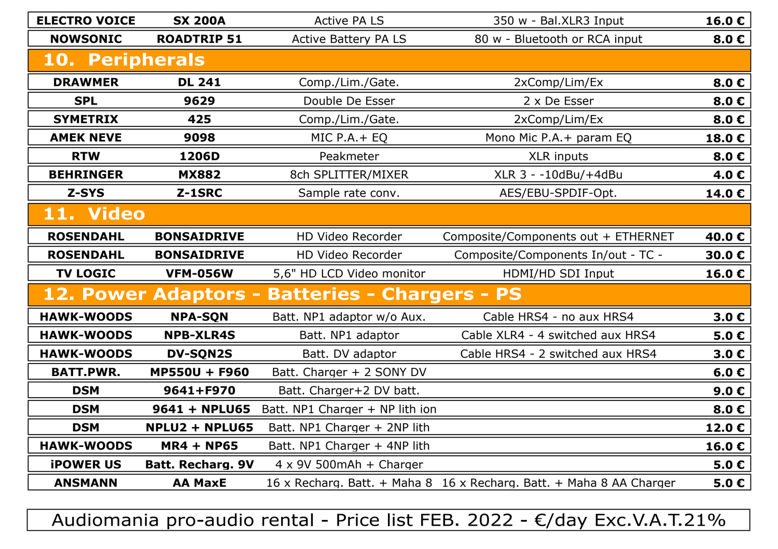| <b>ELECTRO VOICE</b> | <b>SX 200A</b>           | <b>Active PA LS</b>                            | 350 w - Bal.XLR3 Input                                               | 16.0€            |
|----------------------|--------------------------|------------------------------------------------|----------------------------------------------------------------------|------------------|
| <b>NOWSONIC</b>      | <b>ROADTRIP 51</b>       | <b>Active Battery PA LS</b>                    | 80 w - Bluetooth or RCA input                                        | 8.0C             |
| 10. Peripherals      |                          |                                                |                                                                      |                  |
| <b>DRAWMER</b>       | <b>DL 241</b>            | Comp./Lim./Gate.                               | 2xComp/Lim/Ex                                                        | 8.0C             |
| <b>SPL</b>           | 9629                     | Double De Esser                                | 2 x De Esser                                                         | 8.0C             |
| <b>SYMETRIX</b>      | 425                      | Comp./Lim./Gate.                               | 2xComp/Lim/Ex                                                        | 8.0€             |
| <b>AMEK NEVE</b>     | 9098                     | MIC P.A.+ EQ                                   | Mono Mic P.A. + param EQ                                             | 18.0€            |
| <b>RTW</b>           | 1206D                    | Peakmeter                                      | <b>XLR inputs</b>                                                    | 8.0€             |
| <b>BEHRINGER</b>     | <b>MX882</b>             | 8ch SPLITTER/MIXER                             | XLR 3 - -10dBu/+4dBu                                                 | 4.0€             |
| Z-SYS                | Z-1SRC                   | Sample rate conv.                              | AES/EBU-SPDIF-Opt.                                                   | 14.0€            |
| 11. Video            |                          |                                                |                                                                      |                  |
| <b>ROSENDAHL</b>     | <b>BONSAIDRIVE</b>       | HD Video Recorder                              | Composite/Components out + ETHERNET                                  | 40.0€            |
| <b>ROSENDAHL</b>     | <b>BONSAIDRIVE</b>       | HD Video Recorder                              | Composite/Components In/out - TC -                                   | 30.0€            |
| <b>TV LOGIC</b>      | <b>VFM-056W</b>          | 5,6" HD LCD Video monitor                      | HDMI/HD SDI Input                                                    | 16.0€            |
|                      |                          | 12. Power Adaptors - Batteries - Chargers - PS |                                                                      |                  |
| <b>HAWK-WOODS</b>    | <b>NPA-SQN</b>           | Batt. NP1 adaptor w/o Aux.                     | Cable HRS4 - no aux HRS4                                             | 3.0 <sub>c</sub> |
| <b>HAWK-WOODS</b>    | <b>NPB-XLR4S</b>         | Batt. NP1 adaptor                              | Cable XLR4 - 4 switched aux HRS4                                     | 5.0 <sub>c</sub> |
| <b>HAWK-WOODS</b>    | <b>DV-SQN2S</b>          | Batt. DV adaptor                               | Cable HRS4 - 2 switched aux HRS4                                     | 3.0 <sub>c</sub> |
| <b>BATT.PWR.</b>     | <b>MP550U + F960</b>     | Batt. Charger + 2 SONY DV                      |                                                                      | 6.0 $\epsilon$   |
| <b>DSM</b>           | 9641+F970                | Batt. Charger+2 DV batt.                       |                                                                      | 9.0 <sub>c</sub> |
| <b>DSM</b>           | 9641 + NPLU65            | Batt. NP1 Charger + NP lith ion                |                                                                      | 8.0 $\epsilon$   |
| <b>DSM</b>           | NPLU2 + NPLU65           | Batt. NP1 Charger + 2NP lith                   |                                                                      | 12.0€            |
| <b>HAWK-WOODS</b>    | <b>MR4 + NP65</b>        | Batt. NP1 Charger + 4NP lith                   |                                                                      | 16.0€            |
| <b>iPOWER US</b>     | <b>Batt. Recharg. 9V</b> | $4 \times 9V$ 500mAh + Charger                 |                                                                      | 5.0 <sub>c</sub> |
| <b>ANSMANN</b>       | <b>AA MaxE</b>           |                                                | 16 x Recharg. Batt. + Maha 8 16 x Recharg. Batt. + Maha 8 AA Charger | 5.0C             |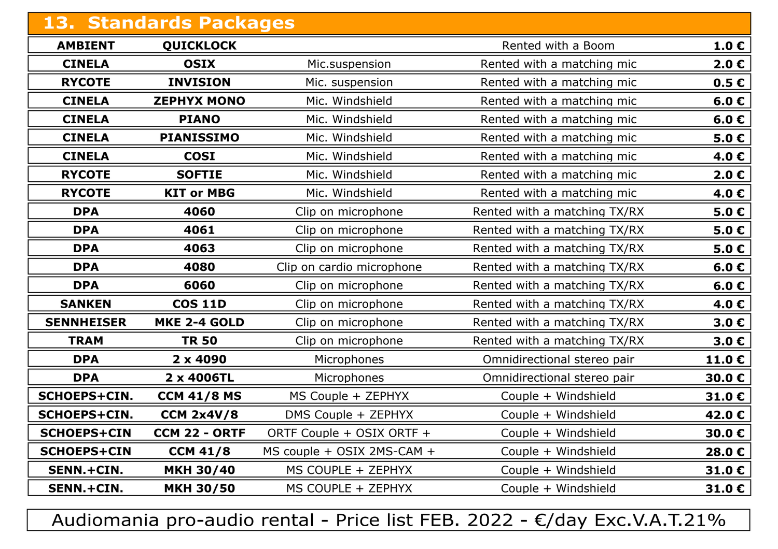| <b>13. Standards Packages</b> |                      |                                               |                              |                    |
|-------------------------------|----------------------|-----------------------------------------------|------------------------------|--------------------|
| <b>AMBIENT</b>                | <b>QUICKLOCK</b>     |                                               | Rented with a Boom           | $1.0 \text{ } \in$ |
| <b>CINELA</b>                 | <b>OSIX</b>          | Mic.suspension                                | Rented with a matching mic   | 2.0 <sub>c</sub>   |
| <b>RYCOTE</b>                 | <b>INVISION</b>      | Rented with a matching mic<br>Mic. suspension |                              | 0.5 <sub>c</sub>   |
| <b>CINELA</b>                 | <b>ZEPHYX MONO</b>   | Mic. Windshield                               | Rented with a matching mic   | 6.0 $\epsilon$     |
| <b>CINELA</b>                 | <b>PIANO</b>         | Mic. Windshield                               | Rented with a matching mic   | 6.0 $\epsilon$     |
| <b>CINELA</b>                 | <b>PIANISSIMO</b>    | Mic. Windshield                               | Rented with a matching mic   | 5.0C               |
| <b>CINELA</b>                 | <b>COSI</b>          | Mic. Windshield                               | Rented with a matching mic   | 4.0€               |
| <b>RYCOTE</b>                 | <b>SOFTIE</b>        | Mic. Windshield                               | Rented with a matching mic   | 2.0 <sub>c</sub>   |
| <b>RYCOTE</b>                 | <b>KIT or MBG</b>    | Mic. Windshield                               | Rented with a matching mic   | 4.0€               |
| <b>DPA</b>                    | 4060                 | Clip on microphone                            | Rented with a matching TX/RX | 5.0C               |
| <b>DPA</b>                    | 4061                 | Clip on microphone                            | Rented with a matching TX/RX | 5.0C               |
| <b>DPA</b>                    | 4063                 | Clip on microphone                            | Rented with a matching TX/RX | 5.0C               |
| <b>DPA</b>                    | 4080                 | Clip on cardio microphone                     | Rented with a matching TX/RX | 6.0 $\epsilon$     |
| <b>DPA</b>                    | 6060                 | Clip on microphone                            | Rented with a matching TX/RX | 6.0C               |
| <b>SANKEN</b>                 | <b>COS 11D</b>       | Clip on microphone                            | Rented with a matching TX/RX | 4.0€               |
| <b>SENNHEISER</b>             | <b>MKE 2-4 GOLD</b>  | Clip on microphone                            | Rented with a matching TX/RX | 3.0 <sub>c</sub>   |
| <b>TRAM</b>                   | <b>TR 50</b>         | Clip on microphone                            | Rented with a matching TX/RX | 3.0C               |
| <b>DPA</b>                    | $2 \times 4090$      | Microphones                                   | Omnidirectional stereo pair  | 11.0 $\epsilon$    |
| <b>DPA</b>                    | 2 x 4006TL           | Microphones                                   | Omnidirectional stereo pair  | 30.0€              |
| <b>SCHOEPS+CIN.</b>           | <b>CCM 41/8 MS</b>   | MS Couple + ZEPHYX                            | Couple + Windshield          | 31.0€              |
| SCHOEPS+CIN.                  | <b>CCM 2x4V/8</b>    | DMS Couple + ZEPHYX                           | Couple + Windshield          | 42.0€              |
| <b>SCHOEPS+CIN</b>            | <b>CCM 22 - ORTF</b> | ORTF Couple + OSIX ORTF +                     | Couple + Windshield          | 30.0€              |
| <b>SCHOEPS+CIN</b>            | <b>CCM 41/8</b>      | MS couple + OSIX 2MS-CAM +                    | Couple + Windshield          | 28.0€              |
| SENN.+CIN.                    | <b>MKH 30/40</b>     | MS COUPLE + ZEPHYX                            | Couple + Windshield          | 31.0€              |
| SENN.+CIN.                    | <b>MKH 30/50</b>     | MS COUPLE + ZEPHYX                            | Couple + Windshield          | 31.0 $\varepsilon$ |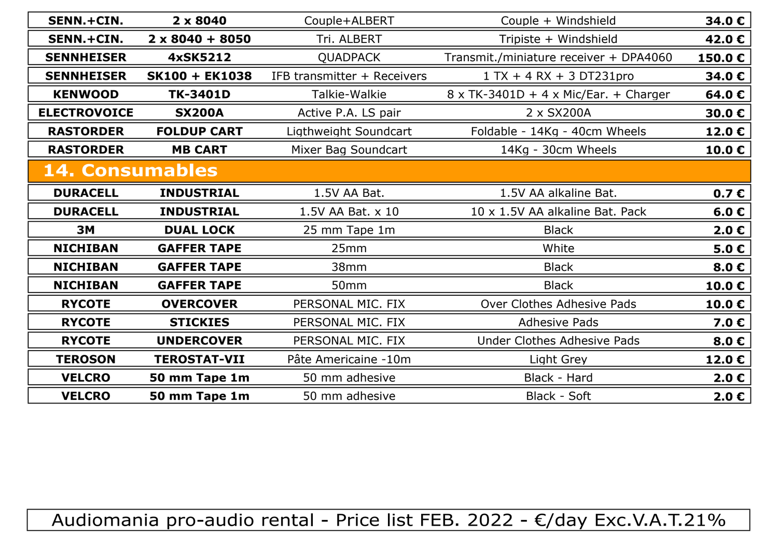| SENN.+CIN.             | $2 \times 8040$        | Couple+ALBERT<br>Couple + Windshield |                                        | 34.0€            |
|------------------------|------------------------|--------------------------------------|----------------------------------------|------------------|
| SENN.+CIN.             | $2 \times 8040 + 8050$ | Tri. ALBERT                          | Tripiste + Windshield                  | 42.0€            |
| <b>SENNHEISER</b>      | 4xSK5212               | <b>QUADPACK</b>                      | Transmit./miniature receiver + DPA4060 | 150.0€           |
| <b>SENNHEISER</b>      | <b>SK100 + EK1038</b>  | IFB transmitter + Receivers          | $1 TX + 4 RX + 3 DT231 pro$            | 34.0€            |
| <b>KENWOOD</b>         | TK-3401D               | Talkie-Walkie                        | 8 x TK-3401D + 4 x Mic/Ear. + Charger  | 64.0€            |
| <b>ELECTROVOICE</b>    | <b>SX200A</b>          | Active P.A. LS pair                  | 2 x SX200A                             | 30.0€            |
| <b>RASTORDER</b>       | <b>FOLDUP CART</b>     | Ligthweight Soundcart                | Foldable - 14Kg - 40cm Wheels          | 12.0€            |
| <b>RASTORDER</b>       | <b>MB CART</b>         | Mixer Bag Soundcart                  | 14Kg - 30cm Wheels                     | 10.0€            |
| <b>14. Consumables</b> |                        |                                      |                                        |                  |
| <b>DURACELL</b>        | <b>INDUSTRIAL</b>      | 1.5V AA Bat.                         | 1.5V AA alkaline Bat.                  | 0.7 <sub>c</sub> |
| <b>DURACELL</b>        | <b>INDUSTRIAL</b>      | 1.5V AA Bat. x 10                    | 10 x 1.5V AA alkaline Bat. Pack        | 6.0 $\epsilon$   |
| <b>3M</b>              | <b>DUAL LOCK</b>       | 25 mm Tape 1m                        | <b>Black</b>                           |                  |
| <b>NICHIBAN</b>        | <b>GAFFER TAPE</b>     | 25mm                                 | White                                  |                  |
| <b>NICHIBAN</b>        | <b>GAFFER TAPE</b>     | 38mm                                 | <b>Black</b>                           |                  |
| <b>NICHIBAN</b>        | <b>GAFFER TAPE</b>     | 50 <sub>mm</sub>                     | <b>Black</b>                           |                  |
| <b>RYCOTE</b>          | <b>OVERCOVER</b>       | PERSONAL MIC. FIX                    | Over Clothes Adhesive Pads             | 10.0€            |
| <b>RYCOTE</b>          | <b>STICKIES</b>        | PERSONAL MIC. FIX                    | <b>Adhesive Pads</b>                   | 7.0€             |
| <b>RYCOTE</b>          | <b>UNDERCOVER</b>      | PERSONAL MIC. FIX                    | Under Clothes Adhesive Pads            | 8.0 $\epsilon$   |
| <b>TEROSON</b>         | <b>TEROSTAT-VII</b>    | Pâte Americaine -10m                 | Light Grey                             | 12.0€            |
| <b>VELCRO</b>          | 50 mm Tape 1m          | 50 mm adhesive                       | Black - Hard                           |                  |
| <b>VELCRO</b>          | 50 mm Tape 1m          | 50 mm adhesive                       | Black - Soft                           |                  |